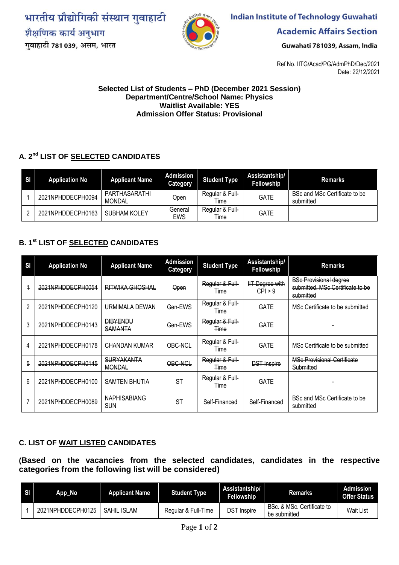भारतीय प्रौद्योगिकी संस्थान गुवाहाटी शैक्षणिक कार्य अनुभाग गवाहाटी 781 039, असम, भारत



**Indian Institute of Technology Guwahati** 

**Academic Affairs Section** 

Guwahati 781039, Assam, India

Ref No. IITG/Acad/PG/AdmPhD/Dec/2021 Date: 22/12/2021

## **Selected List of Students – PhD (December 2021 Session) Department/Centre/School Name: Physics Waitlist Available: YES Admission Offer Status: Provisional**

## **A. 2 nd LIST OF SELECTED CANDIDATES**

| SI | <b>Application No</b> | <b>Applicant Name</b>   | Admission<br><b>Category</b> | <b>Student Type</b>     | Assistantship/<br>Fellowship | <b>Remarks</b>                             |
|----|-----------------------|-------------------------|------------------------------|-------------------------|------------------------------|--------------------------------------------|
|    | 2021NPHDDECPH0094     | PARTHASARATHI<br>MONDAL | Open.                        | Regular & Full-<br>Time | <b>GATE</b>                  | BSc and MSc Certificate to be<br>submitted |
|    | 2021NPHDDECPH0163     | <b>SUBHAM KOLEY</b>     | General<br><b>EWS</b>        | Regular & Full-<br>Time | <b>GATE</b>                  |                                            |

## **B. 1 st LIST OF SELECTED CANDIDATES**

| SI             | <b>Application No</b> | <b>Applicant Name</b>              | <b>Admission</b><br><b>Category</b> | <b>Student Type</b>            | Assistantship/<br>Fellowship                 | <b>Remarks</b>                                                                 |  |
|----------------|-----------------------|------------------------------------|-------------------------------------|--------------------------------|----------------------------------------------|--------------------------------------------------------------------------------|--|
| 4              | 2021NPHDDECPH0054     | RITWIKA GHOSHAL                    | Open                                | Regular & Full-<br>Time        | <b>IIT Degree with</b><br>$CP \rightarrow 9$ | <b>BSc Provisional degree</b><br>submitted. MSc Certificate to be<br>submitted |  |
| $\mathfrak{p}$ | 2021NPHDDECPH0120     | URMIMALA DEWAN                     | Gen-EWS                             | Regular & Full-<br>Time        | <b>GATE</b>                                  | MSc Certificate to be submitted                                                |  |
| 3              | 2021NPHDDECPH0143     | <b>DIBYENDU</b><br><b>SAMANTA</b>  | Gen-EWS                             | Regular & Full-<br><b>Time</b> | GATE                                         |                                                                                |  |
| 4              | 2021NPHDDECPH0178     | <b>CHANDAN KUMAR</b>               | OBC-NCL                             | Regular & Full-<br>Time        | <b>GATE</b>                                  | MSc Certificate to be submitted                                                |  |
| 5              | 2021NPHDDECPH0145     | <b>SURYAKANTA</b><br><b>MONDAL</b> | OBC-NCL                             | Regular & Full-<br>Time        | <b>DST Inspire</b>                           | <b>MSc Provisional Certificate</b><br>Submitted                                |  |
| 6              | 2021NPHDDECPH0100     | <b>SAMTEN BHUTIA</b>               | <b>ST</b>                           | Regular & Full-<br>Time        | <b>GATE</b>                                  |                                                                                |  |
|                | 2021NPHDDECPH0089     | <b>NAPHISABIANG</b><br><b>SUN</b>  | <b>ST</b>                           | Self-Financed                  | Self-Financed                                | BSc and MSc Certificate to be<br>submitted                                     |  |

## **C. LIST OF WAIT LISTED CANDIDATES**

**(Based on the vacancies from the selected candidates, candidates in the respective categories from the following list will be considered)**

| SI | App_No            | Applicant Name | <b>Student Type</b> | Assistantship/<br>Fellowship | <b>Remarks</b>                             | Admission<br><b>Offer Status</b> |
|----|-------------------|----------------|---------------------|------------------------------|--------------------------------------------|----------------------------------|
|    | 2021NPHDDECPH0125 | SAHIL ISLAM    | Regular & Full-Time | DST Inspire                  | BSc. & MSc. Certificate to<br>be submitted | <b>Wait List</b>                 |